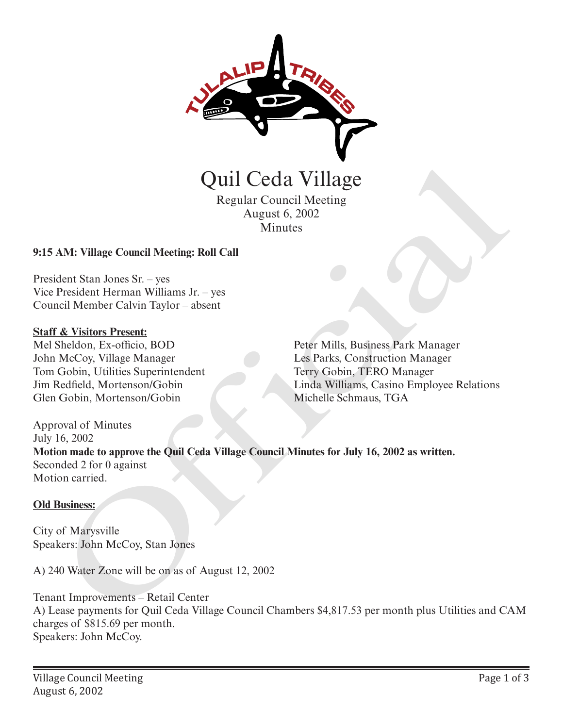

Regular Council Meeting August 6, 2002 Minutes

#### **9:15 AM: Village Council Meeting: Roll Call**

President Stan Jones Sr. – yes Vice President Herman Williams Jr. – yes Council Member Calvin Taylor – absent

#### **Staff & Visitors Present:**

Mel Sheldon, Ex-officio, BOD John McCoy, Village Manager Tom Gobin, Utilities Superintendent Jim Redfield, Mortenson/Gobin Glen Gobin, Mortenson/Gobin

Peter Mills, Business Park Manager Les Parks, Construction Manager Terry Gobin, TERO Manager Linda Williams, Casino Employee Relations Michelle Schmaus, TGA

Approval of Minutes July 16, 2002 **Motion made to approve the Quil Ceda Village Council Minutes for July 16, 2002 as written.** Seconded 2 for 0 against Motion carried. **CHATE CONTROVER (SCITT)**<br>
Regular Council Meeting<br>
August 6, 2002<br>
Minutes<br>
AM: Village Council Meeting: Roll Call<br>
dent Stan Jones Sr. - yes<br>
President Herman Williams Jr. – yes<br>
Festident Herman Williams Jr. – yes<br>
Regu

#### **Old Business:**

City of Marysville Speakers: John McCoy, Stan Jones

A) 240 Water Zone will be on as of August 12, 2002

Tenant Improvements – Retail Center A) Lease payments for Quil Ceda Village Council Chambers \$4,817.53 per month plus Utilities and CAM charges of \$815.69 per month. Speakers: John McCoy.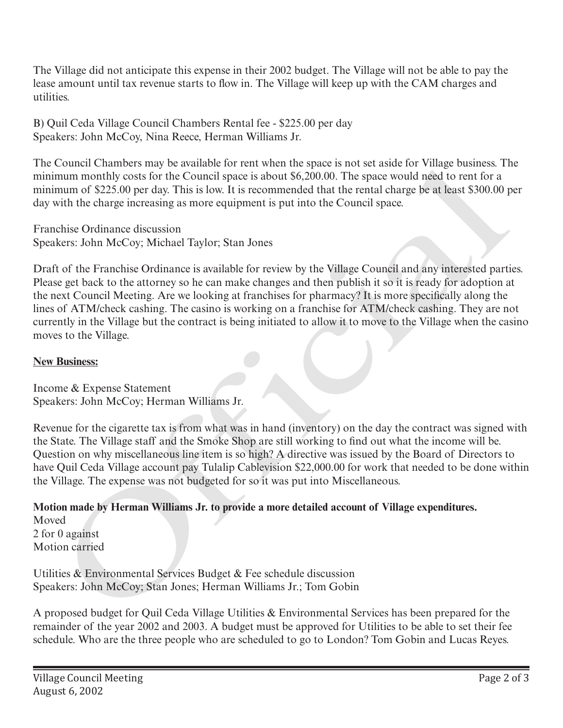The Village did not anticipate this expense in their 2002 budget. The Village will not be able to pay the lease amount until tax revenue starts to flow in. The Village will keep up with the CAM charges and utilities.

B) Quil Ceda Village Council Chambers Rental fee - \$225.00 per day Speakers: John McCoy, Nina Reece, Herman Williams Jr.

The Council Chambers may be available for rent when the space is not set aside for Village business. The minimum monthly costs for the Council space is about \$6,200.00. The space would need to rent for a minimum of \$225.00 per day. This is low. It is recommended that the rental charge be at least \$300.00 per day with the charge increasing as more equipment is put into the Council space.

Franchise Ordinance discussion Speakers: John McCoy; Michael Taylor; Stan Jones

Draft of the Franchise Ordinance is available for review by the Village Council and any interested parties. Please get back to the attorney so he can make changes and then publish it so it is ready for adoption at the next Council Meeting. Are we looking at franchises for pharmacy? It is more specifically along the lines of ATM/check cashing. The casino is working on a franchise for ATM/check cashing. They are not currently in the Village but the contract is being initiated to allow it to move to the Village when the casino moves to the Village. Collectic Unamers may be available to fent twen the spaces is not at assets of the denoted that the mean to the mean to the mean to the mean to the mean to the mean to the mean to the mean to the mean to the mean of the Co

### **New Business:**

Income & Expense Statement Speakers: John McCoy; Herman Williams Jr.

Revenue for the cigarette tax is from what was in hand (inventory) on the day the contract was signed with the State. The Village staff and the Smoke Shop are still working to find out what the income will be. Question on why miscellaneous line item is so high? A directive was issued by the Board of Directors to have Quil Ceda Village account pay Tulalip Cablevision \$22,000.00 for work that needed to be done within the Village. The expense was not budgeted for so it was put into Miscellaneous.

**Motion made by Herman Williams Jr. to provide a more detailed account of Village expenditures.**

Moved 2 for 0 against Motion carried

Utilities & Environmental Services Budget & Fee schedule discussion Speakers: John McCoy; Stan Jones; Herman Williams Jr.; Tom Gobin

A proposed budget for Quil Ceda Village Utilities & Environmental Services has been prepared for the remainder of the year 2002 and 2003. A budget must be approved for Utilities to be able to set their fee schedule. Who are the three people who are scheduled to go to London? Tom Gobin and Lucas Reyes.